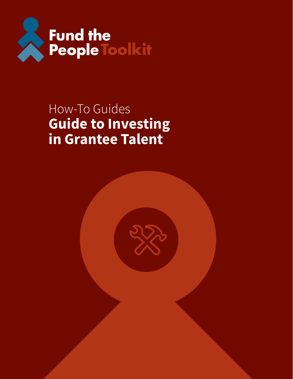

# How-To Guides **Guide to Investing in Grantee Talent**

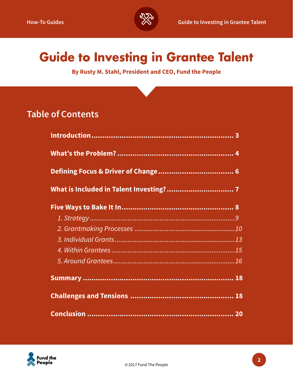

# **Guide to Investing in Grantee Talent**

**By Rusty M. Stahl, President and CEO, Fund the People**

## **Table of Contents**

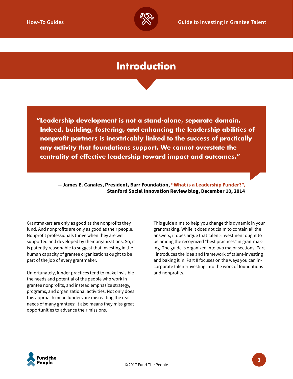

## **Introduction**

**"Leadership development is not a stand-alone, separate domain. Indeed, building, fostering, and enhancing the leadership abilities of nonprofit partners is inextricably linked to the success of practically any activity that foundations support. We cannot overstate the centrality of effective leadership toward impact and outcomes."**

 **—James E. Canales, President, Barr Foundation, ["What is a Leadership Funder?",](https://ssir.org/talent_matters/entry/what_is_a_leadership_funder) Stanford Social Innovation Review blog, December 10, 2014**

Grantmakers are only as good as the nonprofits they fund. And nonprofits are only as good as their people. Nonprofit professionals thrive when they are well supported and developed by their organizations. So, it is patently reasonable to suggest that investing in the human capacity of grantee organizations ought to be part of the job of every grantmaker.

Unfortunately, funder practices tend to make invisible the needs and potential of the people who work in grantee nonprofits, and instead emphasize strategy, programs, and organizational activities. Not only does this approach mean funders are misreading the real needs of many grantees; it also means they miss great opportunities to advance their missions.

This guide aims to help you change this dynamic in your grantmaking. While it does not claim to contain all the answers, it does argue that talent-investment ought to be among the recognized "best practices" in grantmaking. The guide is organized into two major sections. Part I introduces the idea and framework of talent-investing and baking it in. Part II focuses on the ways you can incorporate talent-investing into the work of foundations and nonprofits.

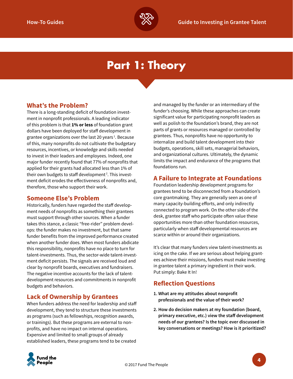

## **Part 1: Theory**

#### **What's the Problem?**

There is a long-standing deficit of foundation investment in nonprofit professionals. A leading indicator of this problem is that **1% or less** of foundation grant dollars have been deployed for staff development in grantee organizations over the last 20 years $^{\rm 1}$ . Because of this, many nonprofits do not cultivate the budgetary resources, incentives, or knowledge and skills needed to invest in their leaders and employees. Indeed, one major funder recently found that 77% of nonprofits that applied for their grants had allocated less than 1% of their own budgets to staff development $^{\text{2}}$ . This investment deficit erodes the effectiveness of nonprofits and, therefore, those who support their work.

#### **Someone Else's Problem**

Historically, funders have regarded the staff development needs of nonprofits as something their grantees must support through other sources. When a funder takes this stance, a classic "free-rider" problem develops: the funder makes no investment, but that same funder benefits from the improved performance created when another funder does. When most funders abdicate this responsibility, nonprofits have no place to turn for talent-investments. Thus, the sector-wide talent-investment deficit persists. The signals are received loud and clear by nonprofit boards, executives and fundraisers. The negative incentive accounts for the lack of talentdevelopment resources and commitments in nonprofit budgets and behaviors.

#### **Lack of Ownership by Grantees**

When funders address the need for leadership and staff development, they tend to structure these investments as programs (such as fellowships, recognition awards, or trainings). But these programs are external to nonprofits, and have no impact on internal operations. Expensive and limited to small groups of already established leaders, these programs tend to be created

and managed by the funder or an intermediary of the funder's choosing. While these approaches can create significant value for participating nonprofit leaders as well as polish to the foundation's brand, they are not parts of grants or resources managed or controlled by grantees. Thus, nonprofits have no opportunity to internalize and build talent development into their budgets, operations, skill sets, managerial behaviors, and organizational cultures. Ultimately, the dynamic limits the impact and endurance of the programs that foundations run.

#### **A Failure to Integrate at Foundations**

Foundation leadership development programs for grantees tend to be disconnected from a foundation's core grantmaking. They are generally seen as one of many capacity-building efforts, and only indirectly connected to program work. On the other side of the desk, grantee staff who participate often value these opportunities more than other foundation resources, particularly when staff developmental resources are scarce within or around their organizations.

It's clear that many funders view talent-investments as icing on the cake. If we are serious about helping grantees achieve their missions, funders must make investing in grantee talent a primary ingredient in their work. Put simply: Bake It In!

### **Reflection Questions**

- **1. What are my attitudes about nonprofit professionals and the value of their work?**
- **2. How do decision makers at my foundation (board, primary executive, etc.) view the staff development needs of our grantees? Is the topic ever discussed in key conversations or meetings? How is it prioritized?**

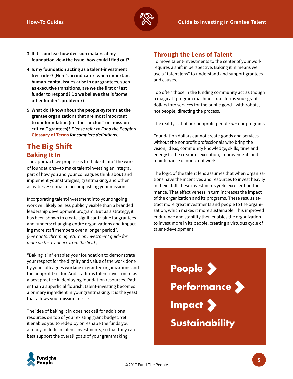

- **3. If it is unclear how decision makers at my foundation view the issue, how could I find out?**
- **4. Is my foundation acting as a talent-investment free-rider? (Here's an indicator: when important human-capital issues arise in our grantees, such as executive transitions, are we the first or last funder to respond? Do we believe that is 'some other funder's problem'?)**
- **5. What do I know about the people-systems at the grantee organizations that are most important to our foundation (i.e. the "anchor" or "missioncritical" grantees)?** *Please refer to Fund the People's* **[Glossary of Terms](http://www.fundthepeople.org/toolkit/resources/glossary/)** *for complete definitions.*

## **The Big Shift Baking It In**

The approach we propose is to "bake it into" the work of foundations—to make talent-investing an integral part of how you and your colleagues think about and implement your strategies, grantmaking, and other activities essential to accomplishing your mission.

Incorporating talent-investment into your ongoing work will likely be less publicly visible than a branded leadership development program. But as a strategy, it has been shown to create significant value for grantees and funders: changing entire organizations and impacting more staff members over a longer period<sup>3</sup>. *(See our forthcoming return on investment guide for more on the evidence from the field.)*

"Baking it in" enables your foundation to demonstrate your respect for the dignity and value of the work done by your colleagues working in grantee organizations and the nonprofit sector. And it affirms talent-investment as a best practice in deploying foundation resources. Rather than a superficial flourish, talent-investing becomes a primary ingredient in your grantmaking. It is the yeast that allows your mission to rise.

The idea of baking it in does not call for additional resources on top of your existing grant budget. Yet, it enables you to redeploy or reshape the funds you already include in talent-investments, so that they can best support the overall goals of your grantmaking.

## **Through the Lens of Talent**

To move talent-investments to the center of your work requires a shift in perspective. Baking it in means we use a "talent lens" to understand and support grantees and causes.

Too often those in the funding community act as though a magical "program machine" transforms your grant dollars into services for the public good—with robots, not people, directing the process.

The reality is that our nonprofit people *are* our programs.

Foundation dollars cannot create goods and services without the nonprofit professionals who bring the vision, ideas, community knowledge, skills, time and energy to the creation, execution, improvement, and maintenance of nonprofit work.

The logic of the talent lens assumes that when organizations have the incentives and resources to invest heavily in their staff, these investments yield excellent performance. That effectiveness in turn increases the impact of the organization and its programs. These results attract more great investments and people to the organization, which makes it more sustainable. This improved endurance and stability then enables the organization to invest more in its people, creating a virtuous cycle of talent-development.



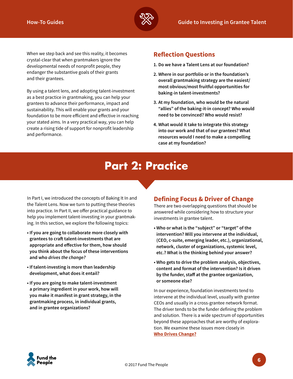

When we step back and see this reality, it becomes crystal-clear that when grantmakers ignore the developmental needs of nonprofit people, they endanger the substantive goals of their grants and their grantees.

By using a talent lens, and adopting talent-investment as a best practice in grantmaking, you can help your grantees to advance their performance, impact and sustainability. This will enable your grants and your foundation to be more efficient and effective in reaching your stated aims. In a very practical way, you can help create a rising tide of support for nonprofit leadership and performance.

## **Reflection Questions**

- **1. Do we have a Talent Lens at our foundation?**
- **2. Where in our portfolio or in the foundation's overall grantmaking strategy are the easiest/ most obvious/most fruitful opportunities for baking-in talent-investments?**
- **3. At my foundation, who would be the natural "allies" of the baking-it-in concept? Who would need to be convinced? Who would resist?**
- **4. What would it take to integrate this strategy into our work and that of our grantees? What resources would I need to make a compelling case at my foundation?**

## **Part 2: Practice**

In Part I, we introduced the concepts of Baking It In and the Talent Lens. Now we turn to putting these theories into practice. In Part II, we offer practical guidance to help you implement talent-investing in your grantmaking. In this section, we explore the following topics:

- **If you are going to collaborate more closely with grantees to craft talent-investments that are appropriate and effective for them, how should you think about the focus of these interventions and who** *drives the change?*
- **If talent-investing is more than leadership development, what does it entail?**
- **If you are going to make talent-investment a primary ingredient in your work, how will you make it manifest in grant strategy, in the grantmaking process, in individual grants, and in grantee organizations?**

### **Defining Focus & Driver of Change**

There are two overlapping questions that should be answered while considering how to structure your investments in grantee talent.

- **Who or what is the "subject" or "target" of the intervention? Will you intervene at the individual, (CEO, c-suite, emerging leader, etc.), organizational, network, cluster of organizations, systemic level, etc.? What is the thinking behind your answer?**
- **Who gets to drive the problem analysis, objectives, content and format of the intervention? Is it driven by the funder, staff at the grantee organization, or someone else?**

In our experience, foundation investments tend to intervene at the individual level, usually with grantee CEOs and usually in a cross-grantee network format. The driver tends to be the funder defining the problem and solution. There is a wide spectrum of opportunities beyond these approaches that are worthy of exploration. We examine these issues more closely in **[Who Drives Change?](http://www.fundthepeople.org/toolkit/how-to-guides/change/)**

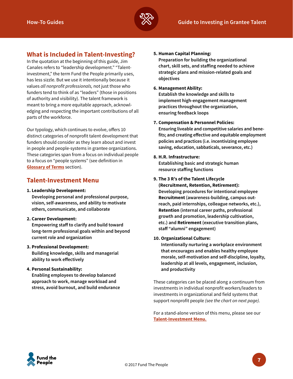

## **What is Included in Talent-Investing?**

In the quotation at the beginning of this guide, Jim Canales refers to "leadership development." "Talentinvestment," the term Fund the People primarily uses, has less sizzle. But we use it intentionally because it values *all nonprofit professionals,* not just those who funders tend to think of as "leaders" (those in positions of authority and visibility). The talent framework is meant to bring a more equitable approach, acknowledging and respecting the important contributions of all parts of the workforce.

Our typology, which continues to evolve, offers 10 distinct categories of nonprofit talent development that funders should consider as they learn about and invest in people and people-systems in grantee organizations. These categories span from a focus on individual people to a focus on "people systems" (see definition in **Glossar[y of Terms](http://www.fundthepeople.org/toolkit/resources/glossary/)** section).

#### **Talent-Investment Menu**

#### **1. Leadership Development:**

**Developing personal and professional purpose, vision, self-awareness, and ability to motivate others, communicate, and collaborate**

#### **2. Career Development:**

**Empowering staff to clarify and build toward long-term professional goals within and beyond current role and organization** 

#### **3. Professional Development:**

**Building knowledge, skills and managerial ability to work effectively**

#### **4. Personal Sustainability:**

**Enabling employees to develop balanced approach to work, manage workload and stress, avoid burnout, and build endurance** 

#### **5. Human Capital Planning:**

**Preparation for building the organizational chart, skill sets, and staffing needed to achieve strategic plans and mission-related goals and objectives** 

#### **6. Management Ability:**

**Establish the knowledge and skills to implement high-engagement management practices throughout the organization, ensuring feedback loops**

#### **7. Compensation & Personnel Policies:**

**Ensuring liveable and competitive salaries and benefits; and creating effective and equitable employment policies and practices (i.e. incentivizing employee saving, education, sabbaticals, severance, etc.)** 

#### **8. H.R. Infrastructure:**

**Establishing basic and strategic human resource staffing functions**

#### **9. The 3 R's of the Talent Lifecycle**

**(Recruitment, Retention, Retirement): Developing procedures for intentional employee Recruitment (awareness-building, campus outreach, paid internships, colleague networks, etc.), Retention (internal career paths, professional growth and promotion, leadership cultivation, etc.) and Retirement (executive transition plans, staff "alumni" engagement)**

#### **10. Organizational Culture:**

**Intentionally nurturing a workplace environment that encourages and enables healthy employee morale, self-motivation and self-discipline, loyalty, leadership at all levels, engagement, inclusion, and productivity** 

These categories can be placed along a continuum from investments in individual nonprofit workers/leaders to investments in organizational and field systems that support nonprofit people *(see the chart on next page).*

For a stand-alone version of this menu, please see our **[Talent-Investment Menu.](http://www.fundthepeople.org/toolkit/how-to-guides/talent-menu/)**

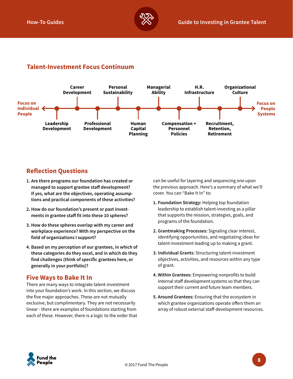

## **Talent-Investment Focus Continuum**



## **Reflection Questions**

- **1. Are there programs our foundation has created or managed to support grantee staff development? If yes, what are the objectives, operating assumptions and practical components of these activities?**
- **2. How do our foundation's present or past investments in grantee staff fit into these 10 spheres?**
- **3. How do these spheres overlap with my career and workplace experience? With my perspective on the field of organizations I support?**
- **4. Based on my perception of our grantees, in which of these categories do they excel, and in which do they find challenges (think of specific grantees here, or generally in your portfolio)?**

#### **Five Ways to Bake It In**

There are many ways to integrate talent-investment into your foundation's work. In this section, we discuss the five major approaches. These are not mutually exclusive, but complimentary. They are not necessarily linear - there are examples of foundations starting from each of these. However, there is a logic to the order that can be useful for layering and sequencing one upon the previous approach. Here's a summary of what we'll cover. You can "Bake It In" to:

- **1. Foundation Strategy:** Helping top foundation leadership to establish talent-investing as a pillar that supports the mission, strategies, goals, and programs of the foundation.
- **2. Grantmaking Processes:** Signaling clear interest, identifying opportunities, and negotiating ideas for talent-investment leading up to making a grant.
- **3. Individual Grants:** Structuring talent-investment objectives, activities, and resources within any type of grant.
- **4. Within Grantees:** Empowering nonprofits to build internal staff development systems so that they can support their current and future team members.
- **5. Around Grantees:** Ensuring that the ecosystem in which grantee organizations operate offers them an array of robust external staff-development resources.

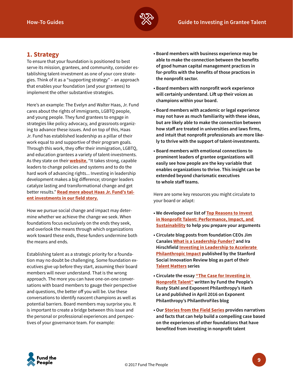

#### **1. Strategy**

To ensure that your foundation is positioned to best serve its mission, grantees, and community, consider establishing talent-investment as one of your core strategies. Think of it as a "supporting strategy" – an approach that enables your foundation (and your grantees) to implement the other substantive strategies.

Here's an example: The Evelyn and Walter Haas, Jr. Fund cares about the rights of immigrants, LGBTQ people, and young people. They fund grantees to engage in strategies like policy advocacy, and grassroots organizing to advance these issues. And on top of this, Haas Jr. Fund has established leadership as a pillar of their work equal to and supportive of their program goals. Through this work, they offer their immigration, LGBTQ, and education grantees a variety of talent-investments. As they state on their **[website](http://www.haasjr.org/issues-impact/leadership)**, "It takes strong, capable leaders to change policies and systems and to do the hard work of advancing rights... Investing in leadership development makes a big difference; stronger leaders catalyze lasting and transformational change and get better results." **[Read more about Haas Jr. Fund's tal](http://www.fundthepeople.org/toolkit/field/haas/)[ent investments in our field story.](http://www.fundthepeople.org/toolkit/field/haas/)**

How we pursue social change and impact may determine whether we achieve the change we seek. When foundations focus exclusively on the ends they seek, and overlook the means through which organizations work toward these ends, these funders undermine both the means and ends.

Establishing talent as a strategic priority for a foundation may no doubt be challenging. Some foundation executives give up before they start, assuming their board members will never understand. That is the wrong approach. The more you can have one-on-one conversations with board members to gauge their perspective and questions, the better off you will be. Use these conversations to identify nascent champions as well as potential barriers. Board members may surprise you. It is important to create a bridge between this issue and the personal or professional experiences and perspectives of your governance team. For example:

- **Board members with business experience may be able to make the connection between the benefits of good human capital management practices in for-profits with the benefits of those practices in the nonprofit sector.**
- **Board members with nonprofit work experience will certainly understand. Lift up their voices as champions within your board.**
- **Board members with academic or legal experience may not have as much familiarity with these ideas, but are likely able to make the connection between how staff are treated in universities and laws firms, and intuit that nonprofit professionals are more likely to thrive with the support of talent-investments.**
- **Board members with emotional connections to prominent leaders of grantee organizations will easily see how people are the key variable that enables organizations to thrive. This insight can be extended beyond charismatic executives to whole staff teams.**

Here are some key resources you might circulate to your board or adapt:

- **We developed our list of [Top Reasons to Invest](http://www.fundthepeople.org/toolkit/casemaking/invest-talent/)  [in Nonprofit Talent: Performance, Impact, and](http://www.fundthepeople.org/toolkit/casemaking/invest-talent/)  [Sustainability](http://www.fundthepeople.org/toolkit/casemaking/invest-talent/) to help you prepare your arguments**
- **Circulate blog posts from foundation CEOs Jim Canales [What is a Leadership Funder?](https://ssir.org/talent_matters/entry/what_is_a_leadership_funder) and Ira Hirschfield [Investing in Leadership to Accelerate](https://ssir.org/talent_matters/entry/investing_in_leadership_to_accelerate_philanthropic_impact)  [Philanthropic Impact](https://ssir.org/talent_matters/entry/investing_in_leadership_to_accelerate_philanthropic_impact) published by the Stanford Social Innovation Review blog as part of their [Talent Matters](https://ssir.org/talent_matters) series**
- **Circulate the essay ["The Case for Investing in](https://philanthrofiles.org/2016/04/05/the-case-for-investing-in-nonprofit-talent/)  [Nonprofit Talent"](https://philanthrofiles.org/2016/04/05/the-case-for-investing-in-nonprofit-talent/) written by Fund the People's Rusty Stahl and Exponent Philanthropy's Hanh Le and published in April 2016 on Exponent Philanthropy's PhilanthroFiles blog**
- **Our [Stories from the Field Series](http://www.fundthepeople.org/ftpkit/field/) provides narratives and facts that can help build a compelling case based on the experiences of other foundations that have benefited from investing in nonprofit talent**

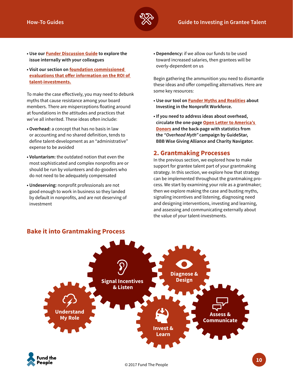

- **Use our [Funder Discussion Guide](http://www.fundthepeople.org/toolkit/guides/funders/) to explore the issue internally with your colleagues**
- **Visit our section on [foundation commissioned](http://fundthepeople.org/toolkit/resources/across-the-field/)  [evaluations that offer information on the ROI of](http://fundthepeople.org/toolkit/resources/across-the-field/)  [talent-investments.](http://fundthepeople.org/toolkit/resources/across-the-field/)**

To make the case effectively, you may need to debunk myths that cause resistance among your board members. There are misperceptions floating around at foundations in the attitudes and practices that we've all inherited. These ideas often include:

- **Overhead:** a concept that has no basis in law or accounting and no shared definition, tends to define talent-development as an "administrative" expense to be avoided
- **Voluntarism:** the outdated notion that even the most sophisticated and complex nonprofits are or should be run by volunteers and do-gooders who do not need to be adequately compensated
- **Undeserving:** nonprofit professionals are not good enough to work in business so they landed by default in nonprofits, and are not deserving of investment

**• Dependency:** if we allow our funds to be used toward increased salaries, then grantees will be overly-dependent on us

Begin gathering the ammunition you need to dismantle these ideas and offer compelling alternatives. Here are some key resources:

- **Use our tool on [Funder Myths and Realities](http://www.fundthepeople.org/toolkit/casemaking/myths/) about Investing in the Nonprofit Workforce.**
- **If you need to address ideas about overhead, circulate the one-page [Open Letter to America's](http://5770-presscdn-21-69.pagely.netdna-cdn.com/wp-content/uploads/2014/10/GS_OverheadMyth_Ltr_ONLINE.pdf)  [Donors](http://5770-presscdn-21-69.pagely.netdna-cdn.com/wp-content/uploads/2014/10/GS_OverheadMyth_Ltr_ONLINE.pdf) and the back-page with statistics from the** *"Overhead Myth"* **campaign by GuideStar, BBB Wise Giving Alliance and Charity Navigator.**

#### **2. Grantmaking Processes**

In the previous section, we explored how to make support for grantee talent part of your grantmaking strategy. In this section, we explore how that strategy can be implemented throughout the grantmaking process. We start by examining your role as a grantmaker; then we explore making the case and busting myths, signaling incentives and listening, diagnosing need and designing interventions, investing and learning, and assessing and communicating externally about the value of your talent-investments.



#### **Bake it into Grantmaking Process**

People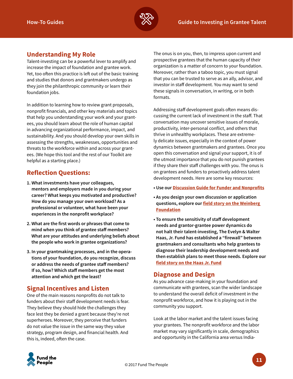

## **Understanding My Role**

Talent-investing can be a powerful lever to amplify and increase the impact of foundation and grantee work. Yet, too often this practice is left out of the basic training and studies that donors and grantmakers undergo as they join the philanthropic community or learn their foundation jobs.

In addition to learning how to review grant proposals, nonprofit financials, and other key materials and topics that help you understanding your work and your grantees, you should learn about the role of human capital in advancing organizational performance, impact, and sustainability. And you should develop your own skills in assessing the strengths, weaknesses, opportunities and threats to the workforce within and across your grantees. (We hope this tool and the rest of our Toolkit are helpful as a starting place.)

### **Reflection Questions:**

- **1. What investments have your colleagues, mentors and employers made in you during your career? What keeps you motivated and productive? How do you manage your own workload? As a professional or volunteer, what have been your experiences in the nonprofit workplace?**
- **2. What are the first words or phrases that come to mind when you think of grantee staff members? What are your attitudes and underlying beliefs about the people who work in grantee organizations?**
- **3. In your grantmaking processes, and in the operations of your foundation, do you recognize, discuss or address the needs of grantee staff members? If so, how? Which staff members get the most attention and which get the least?**

### **Signal Incentives and Listen**

One of the main reasons nonprofits do not talk to funders about their staff development needs is fear. They believe they should hide the challenges they face lest they be denied a grant because they're not superheroes. Moreover, they perceive that funders do not value the issue in the same way they value strategy, program design, and financial health. And this is, indeed, often the case.

The onus is on you, then, to impress upon current and prospective grantees that the human capacity of their organization is a matter of concern to your foundation. Moreover, rather than a taboo topic, you must signal that you can be trusted to serve as an ally, advisor, and investor in staff development. You may want to send these signals in conversation, in writing, or in both formats.

Addressing staff development goals often means discussing the current lack of investment in the staff. That conversation may uncover sensitive issues of morale, productivity, inter-personal conflict, and others that thrive in unhealthy workplaces. These are extremely delicate issues, especially in the context of power dynamics between grantmakers and grantees. Once you open this conversation and signal your support, it is of the utmost importance that you do not punish grantees if they share their staff challenges with you. The onus is on grantees and funders to proactively address talent development needs. Here are some key resources:

- **Use our [Discussion Guide for Funder and Nonprofits](http://www.fundthepeople.org/toolkit/guides/funder-nonprofit/)**
- **As you design your own discussion or application questions, explore our [field story on the Weinberg](http://www.fundthepeople.org/toolkit/field/weinberg/)  [Foundation](http://www.fundthepeople.org/toolkit/field/weinberg/)**
- **To ensure the sensitivity of staff development needs and grantor-grantee power dynamics do not halt their talent-investing, The Evelyn & Walter Haas, Jr. Fund has established a "firewall" between grantmakers and consultants who help grantees to diagnose their leadership development needs and then establish plans to meet those needs. Explore our [field story on the Haas Jr. Fund](http://www.fundthepeople.org/toolkit/field/haas/)**

### **Diagnose and Design**

As you advance case-making in your foundation and communicate with grantees, scan the wider landscape to understand the overall deficit of investment in the nonprofit workforce, and how it is playing out in the community you support.

Look at the labor market and the talent issues facing your grantees. The nonprofit workforce and the labor market may vary significantly in scale, demographics and opportunity in the California area versus India-

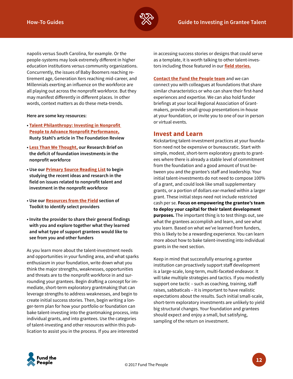

napolis versus South Carolina, for example. Or the people-systems may look extremely different in higher education institutions versus community organizations. Concurrently, the issues of Baby Boomers reaching retirement age, Generation Xers reaching mid-career, and Millennials exerting an influence on the workforce are all playing out across the nonprofit workforce. But they may manifest differently in different places. In other words, context matters as do these meta-trends.

**Here are some key resources:**

- **[Talent Philanthropy: Investing in Nonprofit](http://www.talentphilanthropy.org/research/)  [People to Advance Nonprofit Performance,](http://www.talentphilanthropy.org/research/) Rusty Stahl's article in The Foundation Review**
- **[Less Than We Thought,](http://www.fundthepeople.org/toolkit/casemaking/less/) our Research Brief on the deficit of foundation investments in the nonprofit workforce**
- **Use our [Primary Source Reading List](http://www.fundthepeople.org/toolkit/resources/reading/) to begin studying the recent ideas and research in the field on issues related to nonprofit talent and investment in the nonprofit workforce**
- **Use our [Resources from the Field](http://www.fundthepeople.org/ftpkit/field/) section of Toolkit to identify select providers**
- **Invite the provider to share their general findings with you and explore together what they learned and what type of support grantees would like to see from you and other funders**

As you learn more about the talent-investment needs and opportunities in your funding area, and what sparks enthusiasm in your foundation, write down what you think the major strengths, weaknesses, opportunities and threats are to the nonprofit workforce in and surrounding your grantees. Begin drafting a concept for immediate, short-term exploratory grantmaking that can leverage strengths to address weaknesses, and begin to create initial success stories. Then, begin writing a longer-term plan for how your portfolio or foundation can bake talent-investing into the grantmaking process, into individual grants, and into grantees. Use the categories of talent-investing and other resources within this publication to assist you in the process. If you are interested

in accessing success stories or designs that could serve as a template, it is worth talking to other talent-investors including those featured in our **[field stories.](http://fundthepeople.org/toolkit/field/)**

**[Contact the Fund the People team](www.fundthepeople.org)** and we can connect you with colleagues at foundations that share similar characteristics or who can share their first-hand experiences and expertise. We can also hold funder briefings at your local Regional Association of Grantmakers, provide small-group presentations in-house at your foundation, or invite you to one of our in person or virtual events.

#### **Invest and Learn**

Kickstarting talent-investment practices at your foundation need not be expensive or bureaucratic. Start with simple, modest, short-term exploratory grants to grantees where there is already a stable level of commitment from the foundation and a good amount of trust between you and the grantee's staff and leadership. Your initial talent-investments do not need to compose 100% of a grant, and could look like small supplementary grants, or a portion of dollars ear-marked within a larger grant. These initial steps need not include restricted cash per se. **Focus on empowering the grantee's team to deploy your capital for their talent development purposes.** The important thing is to test things out, see what the grantees accomplish and learn, and see what you learn. Based on what we've learned from funders, this is likely to be a rewarding experience. You can learn more about how to bake talent-investing into individual grants in the next section.

Keep in mind that successfully ensuring a grantee institution can proactively support staff development is a large-scale, long-term, multi-faceted endeavor. It will take multiple strategies and tactics. If you modestly support one tactic – such as coaching, training, staff raises, sabbaticals – it is important to have realistic expectations about the results. Such initial small-scale, short-term exploratory investments are unlikely to yield big structural changes. Your foundation and grantees should expect and enjoy a small, but satisfying, sampling of the return on investment.

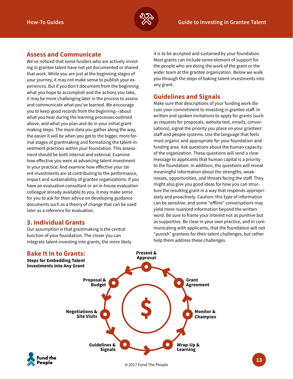

#### **Assess and Communicate**

We've noticed that some funders who are actively investing in grantee talent have not yet documented or shared that work. While you are just at the beginning stages of your journey, it may not make sense to publish your experiences. But if you don't document from the beginning what you hope to accomplish and the actions you take, it may be more challenging later in the process to assess and communicate what you've learned. We encourage you to keep good records from the beginning—about what you hear during the learning processes outlined above, and what you plan and do in your initial grantmaking steps. The more data you gather along the way, the easier it will be when you get to the bigger, more formal stages of grantmaking and formalizing the talent-investment practices within your foundation. This assessment should be both internal and external. Examine how effective you were at advancing talent-investment in your practice. And examine how effective your talent-investments are at contributing to the performance, impact and sustainability of grantee organizations. If you have an evaluation consultant or an in-house evaluation colleague already available to you, it may make sense for you to ask for their advice on developing guidance documents such as a theory of change that can be used later as a reference for evaluation.

#### **3. Individual Grants**

Our assumption is that grantmaking is the central function of your foundation. The closer you can integrate talent-investing into grants, the more likely

#### **Bake It In to Grants:**

**Steps for Embedding Talent Investments into Any Grant**

it is to be accepted and sustained by your foundation. Most grants can include some element of support for the people who are doing the work of the grant or the wider team at the grantee organization. Below we walk you through the steps of baking talent-investments into any grant.

#### **Guidelines and Signals**

Make sure that descriptions of your funding work discuss your commitment to investing in grantee staff. In written and spoken invitations to apply for grants (such as requests for proposals, website text, emails, conversations), signal the priority you place on your grantees' staff and people systems. Use the language that feels most organic and appropriate for your foundation and funding area. Ask questions about the human capacity of the organization. These questions will send a clear message to applicants that human capital is a priority to the foundation. In addition, the questions will reveal meaningful information about the strengths, weaknesses, opportunities, and threats facing the staff. They might also give you good ideas for how you can structure the resulting grant in a way that responds appropriately and proactively. Caution: this type of information can be sensitive, and some "offline" conversations may yield more nuanced information beyond the written word. Be sure to frame your interest not as punitive but as supportive. Be clear in your own practice, and in communicating with applicants, that the foundation will not "punish" grantees for their talent challenges, but rather help them address these challenges.



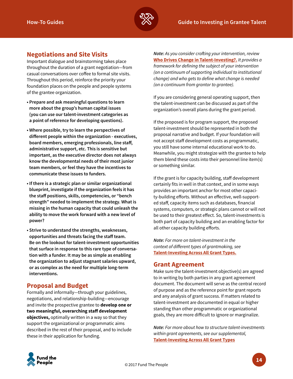

## **Negotiations and Site Visits**

Important dialogue and brainstorming takes place throughout the duration of a grant negotiation—from casual conversations over coffee to formal site visits. Throughout this period, reinforce the priority your foundation places on the people and people systems of the grantee organization.

- **Prepare and ask meaningful questions to learn more about the group's human capital issues (you can use our talent-investment categories as a point of reference for developing questions).**
- **Where possible, try to learn the perspectives of different people within the organization - executives, board members, emerging professionals, line staff, administrative support, etc. This is sensitive but important, as the executive director does not always know the developmental needs of their most junior team members, or feel they have the incentives to communicate these issues to funders.**
- **If there is a strategic plan or similar organizational blueprint, investigate if the organization feels it has the staff positions, skills, competencies, or "bench strength" needed to implement the strategy. What is missing in the human capacity that could unleash the ability to move the work forward with a new level of power?**
- **Strive to understand the strengths, weaknesses, opportunities and threats facing the staff team. Be on the lookout for talent-investment opportunities that surface in response to this rare type of conversation with a funder. It may be as simple as enabling the organization to adjust stagnant salaries upward, or as complex as the need for multiple long-term interventions.**

#### **Proposal and Budget**

Formally and informally—through your guidelines, negotiations, and relationship-building—encourage and invite the prospective grantee to **develop one or two meaningful, overarching staff development objectives,** optimally written in a way so that they support the organizational or programmatic aims described in the rest of their proposal, and to include these in their application for funding.

*Note: As you consider crafting your intervention, review*  **Who Drives Change in Talent-Investing?[.](http://www.fundthepeople.org/toolkit/how-to-guides/change/)** *It provides a framework for defining the subject of your intervention (on a continuum of supporting individual to institutional change) and who gets to define what change is needed (on a continuum from grantor to grantee).*

If you are considering general operating support, then the talent-investment can be discussed as part of the organization's overall plans during the grant period.

If the proposed is for program support, the proposed talent-investment should be represented in both the proposal narrative and budget. If your foundation will not accept staff development costs as programmatic, you still have some internal educational work to do. Meanwhile, you might strategize with the grantee to help them blend these costs into their personnel line item(s) or something similar.

If the grant is for capacity building, staff development certainly fits in well in that context, and in some ways provides an important anchor for most other capacity-building efforts. Without an effective, well-supported staff, capacity items such as databases, financial systems, computers, or strategic plans cannot or will not be used to their greatest effect. So, talent-investments is both part of capacity building and an enabling factor for all other capacity building efforts.

*Note: For more on talent-investment in the context of different types of grantmaking, see*  **[Talent-Investing Across All Grant Types.](http://www.fundthepeople.org/toolkit/how-to-guides/talent-investing/)**

#### **Grant Agreement**

Make sure the talent-investment objective(s) are agreed to in writing by both parties in any grant agreement document. The document will serve as the central record of purpose and as the reference point for grant reports and any analysis of grant success. If matters related to talent-investment are documented in equal or higher standing than other programmatic or organizational goals, they are more difficult to ignore or marginalize.

*Note: For more about how to structure talent-investments within grant agreements, see our supplemental,*  **Talent-Investing Across All Grant Types**

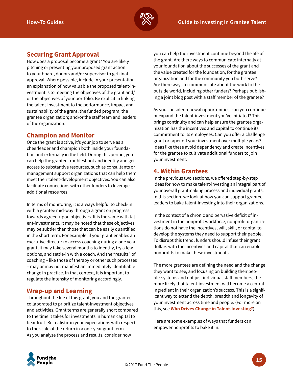

## **Securing Grant Approval**

How does a proposal become a grant? You are likely pitching or presenting your proposed grant action to your board, donors and/or supervisor to get final approval. Where possible, include in your presentation an explanation of how valuable the proposed talent-investment is to meeting the objectives of the grant and/ or the objectives of your portfolio. Be explicit in linking the talent-investment to the performance, impact and sustainability of the grant; the funded program; the grantee organization; and/or the staff team and leaders of the organization.

#### **Champion and Monitor**

Once the grant is active, it's your job to serve as a cheerleader and champion both inside your foundation and externally in the field. During this period, you can help the grantee troubleshoot and identify and get access to substantive resources, such as consultants or management support organizations that can help them meet their talent-development objectives. You can also facilitate connections with other funders to leverage additional resources.

In terms of monitoring, it is always helpful to check-in with a grantee mid-way through a grant on progress towards agreed-upon objectives. It is the same with talent-investments. It may be noted that these objectives may be subtler than those that can be easily quantified in the short term. For example, if your grant enables an executive director to access coaching during a one year grant, it may take several months to identify, try a few options, and settle-in with a coach. And the "results" of coaching – like those of therapy or other such processes – may or may not manifest an immediately identifiable change in practice. In that context, it is important to regulate the intensity of monitoring accordingly.

#### **Wrap-up and Learning**

Throughout the life of this grant, you and the grantee collaborated to prioritize talent-investment objectives and activities. Grant terms are generally short compared to the time it takes for investments in human capital to bear fruit. Be realistic in your expectations with respect to the scale of the return in a one-year grant term. As you analyze the process and results, consider how

you can help the investment continue beyond the life of the grant. Are there ways to communicate internally at your foundation about the successes of the grant and the value created for the foundation, for the grantee organization and for the community you both serve? Are there ways to communicate about the work to the outside world, including other funders? Perhaps publishing a joint blog post with a staff member of the grantee?

As you consider renewal opportunities, can you continue or expand the talent-investment you've initiated? This brings continuity and can help ensure the grantee organization has the incentives and capital to continue its commitment to its employees. Can you offer a challenge grant or taper off your investment over multiple years? Ideas like these avoid dependency and create incentives for the grantee to cultivate additional funders to join your investment.

#### **4. Within Grantees**

In the previous two sections, we offered step-by-step ideas for how to make talent-investing an integral part of your overall grantmaking process and individual grants. In this section, we look at how you can support grantee leaders to bake talent-investing into their organizations.

In the context of a chronic and pervasive deficit of investment in the nonprofit workforce, nonprofit organizations do not have the incentives, will, skill, or capital to develop the systems they need to support their people. To disrupt this trend, funders should infuse their grant dollars with the incentives and capital that can enable nonprofits to make these investments.

The more grantees are defining the need and the change they want to see, and focusing on building their people-systems and not just individual staff members, the more likely that talent-investment will become a central ingredient in their organization's success. This is a significant way to extend the depth, breadth and longevity of your investment across time and people. (For more on this, see **[Who Drives Change in Talent-Investing?](http://www.fundthepeople.org/toolkit/how-to-guides/change/)**)

Here are some examples of ways that funders can empower nonprofits to bake it in:

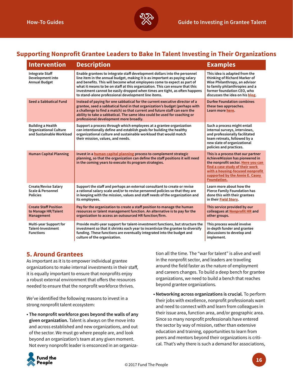

## **Supporting Nonprofit Grantee Leaders to Bake In Talent Investing in Their Organizations**

| <b>Intervention</b>                                                                   | <b>Description</b>                                                                                                                                                                                                                                                                                                                                                                                                                                      | <b>Examples</b>                                                                                                                                                                                                                             |
|---------------------------------------------------------------------------------------|---------------------------------------------------------------------------------------------------------------------------------------------------------------------------------------------------------------------------------------------------------------------------------------------------------------------------------------------------------------------------------------------------------------------------------------------------------|---------------------------------------------------------------------------------------------------------------------------------------------------------------------------------------------------------------------------------------------|
| <b>Integrate Staff</b><br>Development into<br><b>Annual Budget</b>                    | Enable grantees to integrate staff development dollars into the personnel<br>line item in the annual budget, making it is as important as paying salary<br>and benefits. This will become what employees come to expect as part of<br>what it means to be on staff at this organization. This can ensure that this<br>investment cannot be easily dropped when times are tight, as often happens<br>to stand-alone professional development line items. | This idea is adapted from the<br>thinking of Richard Marker of<br>Wise Philanthropy, an advisor<br>to family philanthropies and a<br>former foundation CEO, who<br>discusses the idea on his blog.                                          |
| Seed a Sabbatical Fund                                                                | Instead of paying for one sabbatical for the current executive director of a<br>grantee, seed a sabbatical fund in that organization's budget (perhaps with<br>a challenge to find a match) so that current and future staff can earn the<br>ability to take a sabbatical. The same idea could be used for coaching or<br>professional development more broadly.                                                                                        | <b>Durfee Foundation combines</b><br>these two approaches.<br>Learn more here.                                                                                                                                                              |
| <b>Building a Health</b><br><b>Organizational Culture</b><br>and Sustainable Workload | Support a process through which employees at a grantee organization<br>can intentionally define and establish goals for building the healthy<br>organizational culture and sustainable workload that would match<br>their mission, values, and needs.                                                                                                                                                                                                   | Such a process might entail<br>internal surveys, interviews,<br>and professionally facilitated<br>team retreats, followed by a<br>new slate of organizational<br>policies and practices.                                                    |
| <b>Human Capital Planning</b>                                                         | Invest in a human capital planning process to complement strategic<br>planning, so that the organization can define the staff positions it will need<br>in the coming years to execute its program strategies.                                                                                                                                                                                                                                          | This is a process that our partner<br>AchieveMission has pioneered in<br>the nonprofit sector. Here you can<br>find a case study of their work<br>with a housing-focused nonprofit<br>supported by the Annie E. Casey<br><b>Foundation.</b> |
| <b>Create/Revise Salary</b><br>Scale & Personnel<br><b>Policies</b>                   | Support the staff and perhaps an external consultant to create or revise<br>a rational salary scale and/or to revise personnel policies so that they are<br>in keeping with the mission, values and staff needs of the organization and<br>its employees.                                                                                                                                                                                               | Learn more about how the<br><b>Pierce Family Foundation has</b><br>done this with their grantees<br>in their Field Story.                                                                                                                   |
| <b>Create Staff Position</b><br>to Manage HR/Talent<br>Management                     | Pay for the organization to create a staff position to manage the human<br>resources or talent management function. An alternative is to pay for the<br>organization to access an outsourced HR function/firm.                                                                                                                                                                                                                                          | This service provided by our<br>colleagues at Nonprofit HR and<br>other groups.                                                                                                                                                             |
| Multi-year Support for<br><b>Talent-Investment</b><br><b>Functions</b>                | Provide multi-year support for talent-investment functions, but structure the<br>investment so that it shrinks each year to incentivize the grantee to diversify<br>funding. These functions are eventually integrated into the budget and<br>culture of the organization.                                                                                                                                                                              | This process would involve<br>in-depth funder and grantee<br>discussions to develop and<br>implement.                                                                                                                                       |

### **5. Around Grantees**

As important as it is to empower individual grantee organizations to make internal investments in their staff, it is equally important to ensure that nonprofits enjoy a robust external environment that offers the resources needed to ensure that the nonprofit workforce thrives.

We've identified the following reasons to invest in a strong nonprofit talent ecosystem:

**• The nonprofit workforce goes beyond the walls of any given organization.** Talent is always on the move into and across established and new organizations, and out of the sector. We must go where people are, and look beyond an organization's team at any given moment. Not every nonprofit leader is ensconced in an organization all the time. The "war for talent" is alive and well in the nonprofit sector, and leaders are traveling around the field faster as the nature of employment and careers changes. To build a deep bench for grantee organizations, we need to build a bench that reaches beyond grantee organizations.

**• Networking across organizations is crucial.** To perform their jobs with excellence, nonprofit professionals want and need to connect with and learn from colleagues in their issue area, function area, and/or geographic area. Since so many nonprofit professionals have entered the sector by way of mission, rather than extensive education and training, opportunities to learn from peers and mentors beyond their organizations is critical. That's why there is such a demand for associations,

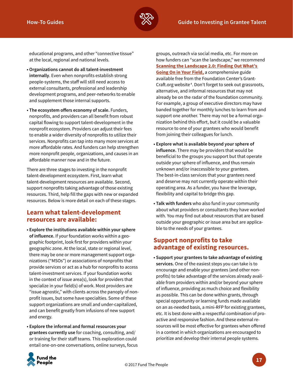

educational programs, and other "connective tissue" at the local, regional and national levels.

- **Organizations cannot do all talent-investment internally**. Even when nonprofits establish strong people-systems, the staff will still need access to external consultants, professional and leadership development programs, and peer-networks to enable and supplement those internal supports.
- **The ecosystem offers economy of scale.** Funders, nonprofits, and providers can all benefit from robust capital flowing to support talent-development in the nonprofit ecosystem. Providers can adjust their fees to enable a wider diversity of nonprofits to utilize their services. Nonprofits can tap into many more services at more affordable rates. And funders can help strengthen more nonprofit people, organizations, and causes in an affordable manner now and in the future.

There are three stages to investing in the nonprofit talent-development ecosystem. First, learn what talent-development resources are available. Second, support nonprofits taking advantage of those existing resources. Third, help fill the gaps with new or expanded resources. Below is more detail on each of these stages.

#### **Learn what talent-development resources are available:**

- **Explore the institutions available within your sphere of influence.** If your foundation works within a geographic footprint, look first for providers within your geographic zone. At the local, state or regional level, there may be one or more management support organizations ("MSOs") or associations of nonprofits that provide services or act as a hub for nonprofits to access talent-investment services. If your foundation works in the context of issue area(s), look for providers that specialize in your field(s) of work. Most providers are "issue agnostic," with clients across the panoply of nonprofit issues, but some have specialties. Some of these support organizations are small and under-capitalized, and can benefit greatly from infusions of new support and energy.
- **Explore the informal and formal resources your grantees currently use** for coaching, consulting, and/ or training for their staff teams. This exploration could entail one-on-one conversations, online surveys, focus

groups, outreach via social media, etc. For more on how funders can "scan the landscape," we recommend **[Scanning the Landscape 2.0: Finding Out What's](http://www.grantcraft.org/guides/scanning-the-landscape-2.0)  [Going On in Your Field,](http://www.grantcraft.org/guides/scanning-the-landscape-2.0)** a comprehensive guide available free from the Foundation Center's Grant-Craft.org website <sup>4</sup> . Don't forget to seek out grassroots, alternative, and informal resources that may not already be on the radar of the foundation community. For example, a group of executive directors may have banded together for monthly lunches to learn from and support one another. There may not be a formal organization behind this effort, but it could be a valuable resource to one of your grantees who would benefit from joining their colleagues for lunch.

- **Explore what is available beyond your sphere of influence.** There may be providers that would be beneficial to the groups you support but that operate outside your sphere of influence, and thus remain unknown and/or inaccessible to your grantees. The best-in-class services that your grantees need and deserve may not currently operate within their operating area. As a funder, you have the leverage, flexibility and capital to bridge this gap.
- **Talk with funders** who also fund in your community about what providers or consultants they have worked with. You may find out about resources that are based outside your geographic or issue area but are applicable to the needs of your grantees.

### **Support nonprofits to take advantage of existing resources.**

**• Support your grantees to take advantage of existing services.** One of the easiest steps you can take is to encourage and enable your grantees (and other nonprofits) to take advantage of the services already available from providers within and/or beyond your sphere of influence, providing as much choice and flexibility as possible. This can be done within grants, through special opportunity or learning funds made available on an as-needed basis, a mini-RFP for existing grantees, etc. It is best done with a respectful combination of proactive and responsive fashion. And these external resources will be most effective for grantees when offered in a context in which organizations are encouraged to prioritize and develop their internal people systems.

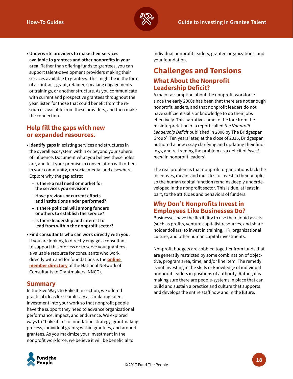

**• Underwrite providers to make their services available to grantees and other nonprofits in your area.** Rather than offering funds to grantees, you can support talent-development providers making their services available to grantees. This might be in the form of a contract, grant, retainer, speaking engagements or trainings, or another structure. As you communicate with current and prospective grantees throughout the year, listen for those that could benefit from the resources available from these providers, and then make the connection.

#### **Help fill the gaps with new or expanded resources.**

- **Identify gaps** in existing services and structures in the overall ecosystem within or beyond your sphere of influence. Document what you believe these holes are, and test your premise in conversation with others in your community, on social media, and elsewhere. Explore why the gap exists:
	- **Is there a real need or market for the services you envision?**
	- **Have previous or current efforts and institutions under performed?**
	- **Is there political will among funders or others to establish the service?**
	- **Is there leadership and interest to lead from within the nonprofit sector?**
- **Find consultants who can work directly with you.** If you are looking to directly engage a consultant to support this process or to serve your grantees, a valuable resource for consultants who work directly with and for foundations is the **[online](https://nncg.memberclicks.net/directory-search)  [member directory](https://nncg.memberclicks.net/directory-search)** of the National Network of Consultants to Grantmakers (NNCG).

#### **Summary**

In the Five Ways to Bake It In section, we offered practical ideas for seamlessly assimilating talentinvestment into your work so that nonprofit people have the support they need to advance organizational performance, impact, and endurance. We explored ways to "bake it in" to foundation strategy, grantmaking process, individual grants; within grantees, and around grantees. As you maximize your investment in the nonprofit workforce, we believe it will be beneficial to

individual nonprofit leaders, grantee organizations, and your foundation.

## **Challenges and Tensions What About the Nonprofit Leadership Deficit?**

A major assumption about the nonprofit workforce since the early 2000s has been that there are not enough nonprofit leaders, and that nonprofit leaders do not have sufficient skills or knowledge to do their jobs effectively. This narrative came to the fore from the misinterpretation of a report called *the Nonprofit Leadership Deficit* published in 2006 by The Bridgespan Group<sup>5</sup>. Ten years later, at the close of 2015, Bridgespan authored a new essay clarifying and updating their findings, and re-framing the problem as a deficit of *invest*ment in nonprofit leaders<sup>6</sup>.

The real problem is that nonprofit organizations lack the incentives, means and muscles to invest in their people, so the human capital function remains deeply underdeveloped in the nonprofit sector. This is due, at least in part, to the attitudes and behaviors of funders.

#### **Why Don't Nonprofits Invest in Employees Like Businesses Do?**

Businesses have the flexibility to use their liquid assets (such as profits, venture capitalist resources, and shareholder dollars) to invest in training, HR, organizational culture, and other human capital investments.

Nonprofit budgets are cobbled together from funds that are generally restricted by some combination of objective, program area, time, and/or line item. The remedy is not investing in the skills or knowledge of individual nonprofit leaders in positions of authority. Rather, it is making sure there are people-systems in place that can build and sustain a practice and culture that supports and develops the entire staff now and in the future.

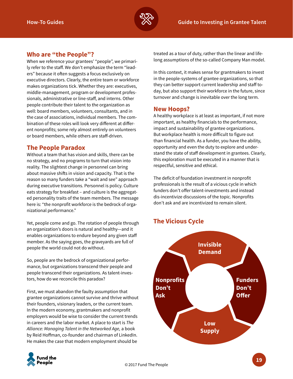

#### **Who are "the People"?**

When we reference your grantees' "people", we primarily refer to the staff. We don't emphasize the term "leaders" because it often suggests a focus exclusively on executive directors. Clearly, the entire team or workforce makes organizations tick. Whether they are: executives, middle-management, program or development professionals, administrative or line-staff, and interns. Other people contribute their talent to the organization as well: board members, volunteers, consultants, and in the case of associations, individual members. The combination of these roles will look very different at different nonprofits; some rely almost entirely on volunteers or board members, while others are staff-driven.

#### **The People Paradox**

Without a team that has vision and skills, there can be no strategy, and no programs to turn that vision into reality. The slightest change in personnel can bring about massive shifts in vision and capacity. That is the reason so many funders take a "wait and see" approach during executive transitions. Personnel is policy. Culture eats strategy for breakfast – and culture is the aggregated personality traits of the team members. The message here is: "the nonprofit workforce is the bedrock of organizational performance."

Yet, people come and go. The rotation of people through an organization's doors is natural and healthy—and it enables organizations to endure beyond any given staff member. As the saying goes, the graveyards are full of people the world could not do without.

So, people are the bedrock of organizational performance, but organizations transcend their people and people transcend their organizations. As talent-investors, how do we reconcile this paradox?

First, we must abandon the faulty assumption that grantee organizations cannot survive and thrive without their founders, visionary leaders, or the current team. In the modern economy, grantmakers and nonprofit employers would be wise to consider the current trends in careers and the labor market. A place to start is *The Alliance: Managing Talent in the Networked Age,* a book by Reid Hoffman, co-founder and chairman of LinkedIn. He makes the case that modern employment should be

treated as a tour of duty, rather than the linear and lifelong assumptions of the so-called Company Man model.

In this context, it makes sense for grantmakers to invest in the people-systems of grantee organizations, so that they can better support current leadership and staff today, but also support their workforce in the future, since turnover and change is inevitable over the long term.

#### **New Hoops?**

A healthy workplace is at least as important, if not more important, as healthy financials to the performance, impact and sustainability of grantee organizations. But workplace health is more difficult to figure out than financial health. As a funder, you have the ability, opportunity and even the duty to explore and understand the state of staff development in grantees. Clearly, this exploration must be executed in a manner that is respectful, sensitive and ethical.

The deficit of foundation investment in nonprofit professionals is the result of a vicious cycle in which funders don't offer talent-investments and instead dis-incentivize discussions of the topic. Nonprofits don't ask and are incentivized to remain silent.

## **The Vicious Cycle**



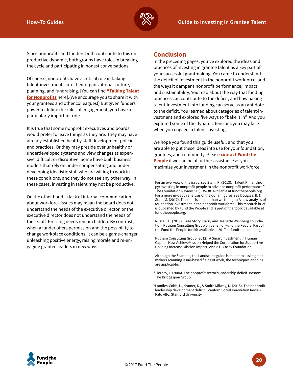

Since nonprofits and funders both contribute to this unproductive dynamic, both groups have roles in breaking the cycle and participating in honest conversations.

Of course, nonprofits have a critical role in baking talent-investments into their organizational culture, planning, and fundraising. [You can find **["Talking Talent](http://www.fundthepeople.org/toolkit/guides/nonprofit/) [for Nonprofits](http://www.fundthepeople.org/toolkit/guides/nonprofit/)** here].(We encourage you to share it with your grantees and other colleagues!) But given funders' power to define the rules of engagement, you have a particularly important role.

It is true that some nonprofit executives and boards would prefer to leave things as they are. They may have already established healthy staff development policies and practices. Or they may preside over unhealthy or underdeveloped systems and view changes as expensive, difficult or disruptive. Some have built business models that rely on under compensating and under developing idealistic staff who are willing to work in these conditions, and they do not see any other way. In these cases, investing in talent may not be productive.

On the other hand, a lack of internal communication about workforce issues may mean the board does not understand the needs of the executive director, or the executive director does not understand the needs of their staff. Pressing needs remain hidden. By contrast, when a funder offers permission and the possibility to change workplace conditions, it can be a game-changer, unleashing positive energy, raising morale and re-engaging grantee leaders in new ways.

#### **Conclusion**

In the preceding pages, you've explored the ideas and practices of investing in grantee talent as a key part of your successful grantmaking. You came to understand the deficit of investment in the nonprofit workforce, and the ways it dampens nonprofit performance, impact and sustainability. You read about the way that funding practices can contribute to the deficit, and how baking talent-investment into funding can serve as an antidote to the deficit. You learned about categories of talent-investment and explored five ways to "bake it in". And you explored some of the dynamic tensions you may face when you engage in talent-investing.

We hope you found this guide useful, and that you are able to put these ideas into use for your foundation, grantees, and community. Please **[contact Fund the](http://www.fundthepeople.org)  [People](http://www.fundthepeople.org)** if we can be of further assistance as you maximize your investment in the nonprofit workforce.

<sup>2</sup> Russell, E. (2017). Case Story: Harry and Jeanette Weinberg Foundation. Putnam Consulting Group on behalf of Fund the People. Part of the Fund the People toolkit available in 2017 at fundthepeople.org.

- 3 Putnam Consulting Group (2012). A Smart Investment in Human Capital: How AchieveMission Helped the Corporation for Supportive Housing Increase Mission Impact. Annie E. Casey Foundation.
- <sup>4</sup> Although the Scanning the Landscape guide is meant to assist grantmakers scanning issue-based fields of work, the techniques and tips are applicable.
- 5 Tierney, T. (2006). The nonprofit sector's leadership deficit. Boston: The Bridgespan Group.
- 6 Landles-Cobb, L., Kramer, K., & Smith Milway, K. (2015). The nonprofit leadership development deficit. Stanford Social Innovation Review. Palo Alto: Stanford University.



<sup>&</sup>lt;sup>1</sup> For an overview of the issue, see Stahl, R. (2013). "Talent Philanthropy: Investing in nonprofit people to advance nonprofit performance." The Foundation Review, 5(3), 35-38. Available at fundthepeople.org. For a more in-depth analysis of the dollar figures, see Douglas, B. & Stahl, S. (2017). The hole is deeper than we thought: A new analysis of foundation investment in the nonprofit workforce. This research brief is published by Fund the People and is part of the toolkit available at fundthepeople.org.